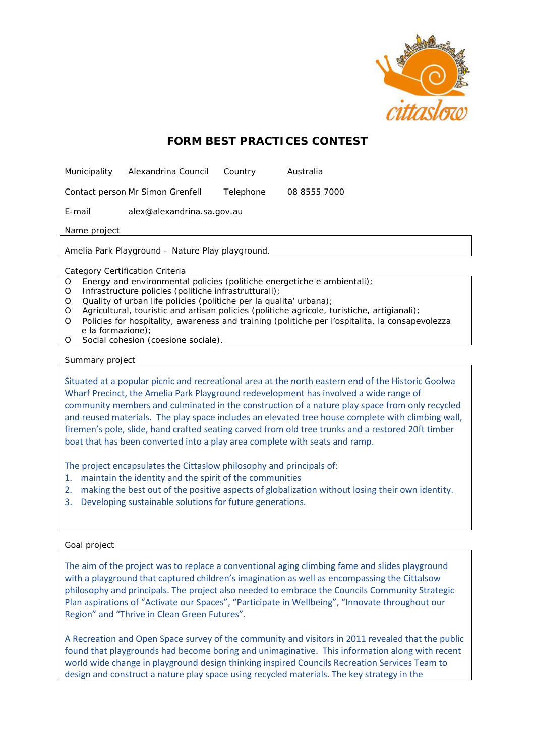

# **FORM BEST PRACTICES CONTEST**

Municipality Alexandrina Council Country Australia

Contact person Mr Simon Grenfell Telephone 08 8555 7000

E-mail alex@alexandrina.sa.gov.au

Name project

Amelia Park Playground – Nature Play playground.

Category Certification Criteria

- O Energy and environmental policies (politiche energetiche e ambientali);
- O Infrastructure policies (politiche infrastrutturali);
- O Quality of urban life policies (politiche per la qualita' urbana);
- O Agricultural, touristic and artisan policies (politiche agricole, turistiche, artigianali);
- O Policies for hospitality, awareness and training (politiche per l'ospitalita, la consapevolezza e la formazione);
- O Social cohesion (coesione sociale).

Summary project

Situated at a popular picnic and recreational area at the north eastern end of the Historic Goolwa Wharf Precinct, the Amelia Park Playground redevelopment has involved a wide range of community members and culminated in the construction of a nature play space from only recycled and reused materials. The play space includes an elevated tree house complete with climbing wall, firemen's pole, slide, hand crafted seating carved from old tree trunks and a restored 20ft timber boat that has been converted into a play area complete with seats and ramp.

The project encapsulates the Cittaslow philosophy and principals of:

- 1. maintain the identity and the spirit of the communities
- 2. making the best out of the positive aspects of globalization without losing their own identity.
- 3. Developing sustainable solutions for future generations.

## Goal project

The aim of the project was to replace a conventional aging climbing fame and slides playground with a playground that captured children's imagination as well as encompassing the Cittalsow philosophy and principals. The project also needed to embrace the Councils Community Strategic Plan aspirations of "Activate our Spaces", "Participate in Wellbeing", "Innovate throughout our Region" and "Thrive in Clean Green Futures".

A Recreation and Open Space survey of the community and visitors in 2011 revealed that the public found that playgrounds had become boring and unimaginative. This information along with recent world wide change in playground design thinking inspired Councils Recreation Services Team to design and construct a nature play space using recycled materials. The key strategy in the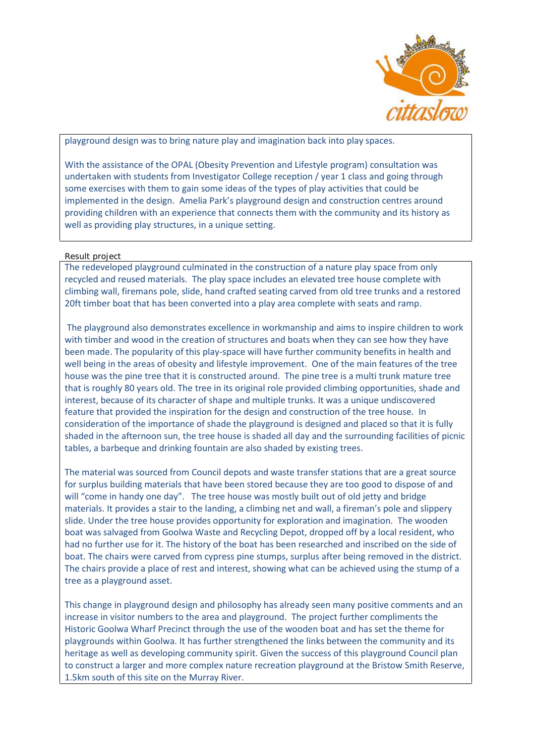

playground design was to bring nature play and imagination back into play spaces.

With the assistance of the OPAL (Obesity Prevention and Lifestyle program) consultation was undertaken with students from Investigator College reception / year 1 class and going through some exercises with them to gain some ideas of the types of play activities that could be implemented in the design. Amelia Park's playground design and construction centres around providing children with an experience that connects them with the community and its history as well as providing play structures, in a unique setting.

## Result project

The redeveloped playground culminated in the construction of a nature play space from only recycled and reused materials. The play space includes an elevated tree house complete with climbing wall, firemans pole, slide, hand crafted seating carved from old tree trunks and a restored 20ft timber boat that has been converted into a play area complete with seats and ramp.

The playground also demonstrates excellence in workmanship and aims to inspire children to work with timber and wood in the creation of structures and boats when they can see how they have been made. The popularity of this play-space will have further community benefits in health and well being in the areas of obesity and lifestyle improvement. One of the main features of the tree house was the pine tree that it is constructed around. The pine tree is a multi trunk mature tree that is roughly 80 years old. The tree in its original role provided climbing opportunities, shade and interest, because of its character of shape and multiple trunks. It was a unique undiscovered feature that provided the inspiration for the design and construction of the tree house. In consideration of the importance of shade the playground is designed and placed so that it is fully shaded in the afternoon sun, the tree house is shaded all day and the surrounding facilities of picnic tables, a barbeque and drinking fountain are also shaded by existing trees.

The material was sourced from Council depots and waste transfer stations that are a great source for surplus building materials that have been stored because they are too good to dispose of and will "come in handy one day". The tree house was mostly built out of old jetty and bridge materials. It provides a stair to the landing, a climbing net and wall, a fireman's pole and slippery slide. Under the tree house provides opportunity for exploration and imagination. The wooden boat was salvaged from Goolwa Waste and Recycling Depot, dropped off by a local resident, who had no further use for it. The history of the boat has been researched and inscribed on the side of boat. The chairs were carved from cypress pine stumps, surplus after being removed in the district. The chairs provide a place of rest and interest, showing what can be achieved using the stump of a tree as a playground asset.

This change in playground design and philosophy has already seen many positive comments and an increase in visitor numbers to the area and playground. The project further compliments the Historic Goolwa Wharf Precinct through the use of the wooden boat and has set the theme for playgrounds within Goolwa. It has further strengthened the links between the community and its heritage as well as developing community spirit. Given the success of this playground Council plan to construct a larger and more complex nature recreation playground at the Bristow Smith Reserve, 1.5km south of this site on the Murray River.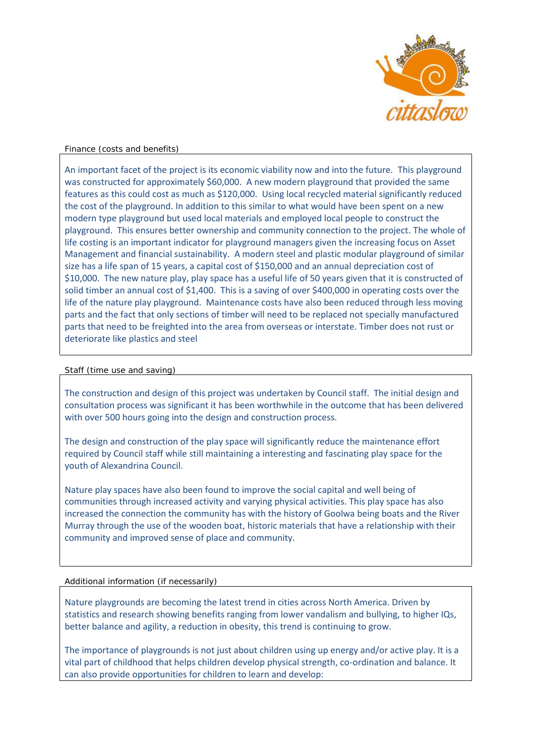

## Finance (costs and benefits)

An important facet of the project is its economic viability now and into the future. This playground was constructed for approximately \$60,000. A new modern playground that provided the same features as this could cost as much as \$120,000. Using local recycled material significantly reduced the cost of the playground. In addition to this similar to what would have been spent on a new modern type playground but used local materials and employed local people to construct the playground. This ensures better ownership and community connection to the project. The whole of life costing is an important indicator for playground managers given the increasing focus on Asset Management and financial sustainability. A modern steel and plastic modular playground of similar size has a life span of 15 years, a capital cost of \$150,000 and an annual depreciation cost of \$10,000. The new nature play, play space has a useful life of 50 years given that it is constructed of solid timber an annual cost of \$1,400. This is a saving of over \$400,000 in operating costs over the life of the nature play playground. Maintenance costs have also been reduced through less moving parts and the fact that only sections of timber will need to be replaced not specially manufactured parts that need to be freighted into the area from overseas or interstate. Timber does not rust or deteriorate like plastics and steel

#### Staff (time use and saving)

The construction and design of this project was undertaken by Council staff. The initial design and consultation process was significant it has been worthwhile in the outcome that has been delivered with over 500 hours going into the design and construction process.

The design and construction of the play space will significantly reduce the maintenance effort required by Council staff while still maintaining a interesting and fascinating play space for the youth of Alexandrina Council.

Nature play spaces have also been found to improve the social capital and well being of communities through increased activity and varying physical activities. This play space has also increased the connection the community has with the history of Goolwa being boats and the River Murray through the use of the wooden boat, historic materials that have a relationship with their community and improved sense of place and community.

#### Additional information (if necessarily)

Nature playgrounds are becoming the latest trend in cities across North America. Driven by statistics and research showing benefits ranging from lower vandalism and bullying, to higher IQs, better balance and agility, a reduction in obesity, this trend is continuing to grow.

The importance of playgrounds is not just about children using up energy and/or active play. It is a vital part of childhood that helps children develop physical strength, co-ordination and balance. It can also provide opportunities for children to learn and develop: